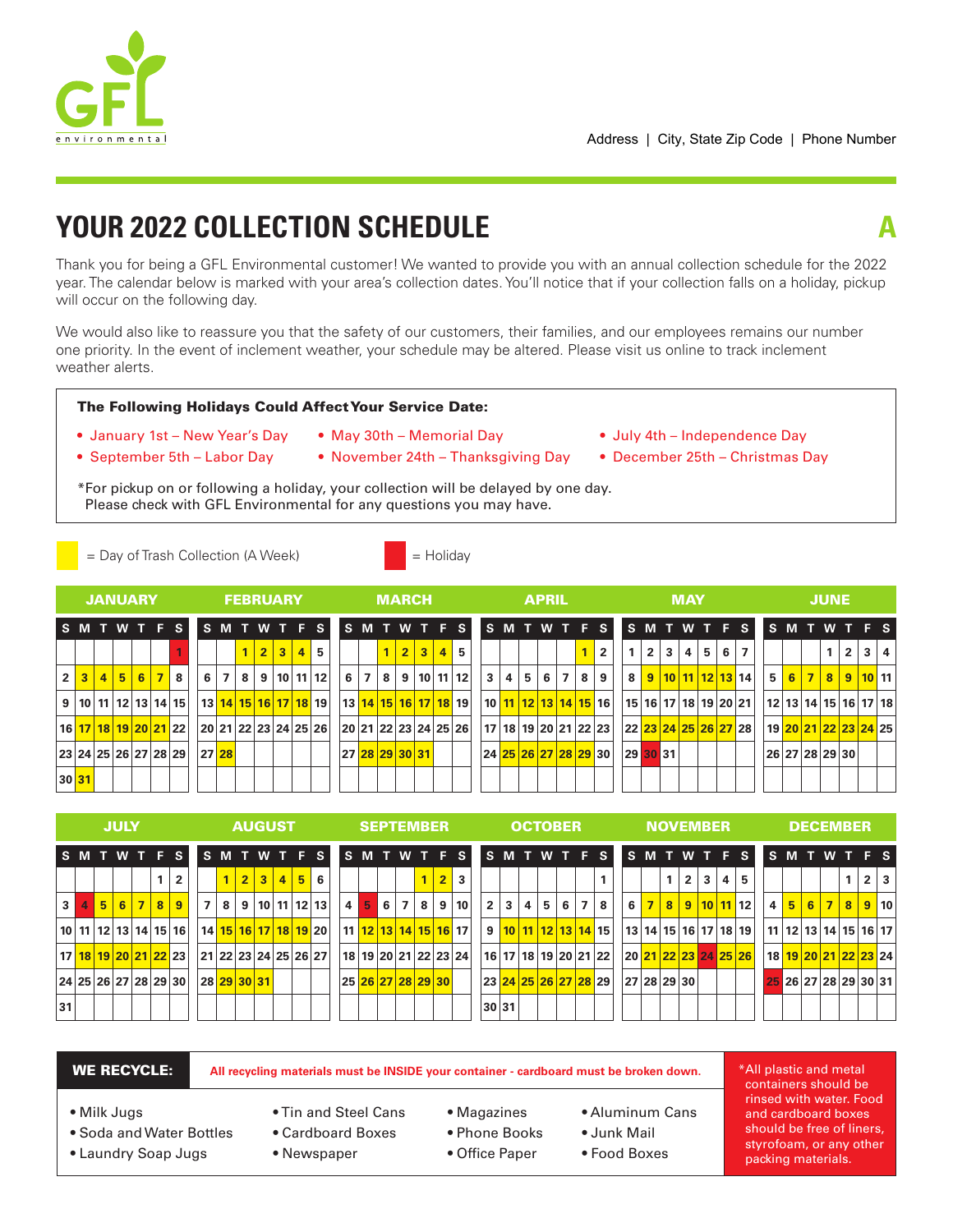

# **YOUR 2022 COLLECTION SCHEDULE**

Thank you for being a GFL Environmental customer! We wanted to provide you with an annual collection schedule for the 2022 year. The calendar below is marked with your area's collection dates. You'll notice that if your collection falls on a holiday, pickup will occur on the following day.

We would also like to reassure you that the safety of our customers, their families, and our employees remains our number one priority. In the event of inclement weather, your schedule may be altered. Please visit us online to track inclement weather alerts.

## The Following Holidays Could Affect Your Service Date:

- January 1st New Year's Day May 30th Memorial Day July 4th Independence Day
	-
- 
- 
- 

= Holiday

\*For pickup on or following a holiday, your collection will be delayed by one day. Please check with GFL Environmental for any questions you may have.

- 
- September 5th Labor Day November 24th Thanksgiving Day December 25th Christmas Day

|  | $=$ Day of Trash Collection (A Week) |  |
|--|--------------------------------------|--|
|  |                                      |  |

|   |        |                | <b>JANUARY</b> |  |                                               |       |   | <b>FEBRUARY</b> |                        |                                             |                |       |              | <b>MARCH</b> |           |                                             |                      |     | <b>APRIL</b> |     |                                  |                            |                |              | <b>MAY</b> |             |   |                      |     |  | <b>JUNE</b>    |                                               |              |   |
|---|--------|----------------|----------------|--|-----------------------------------------------|-------|---|-----------------|------------------------|---------------------------------------------|----------------|-------|--------------|--------------|-----------|---------------------------------------------|----------------------|-----|--------------|-----|----------------------------------|----------------------------|----------------|--------------|------------|-------------|---|----------------------|-----|--|----------------|-----------------------------------------------|--------------|---|
|   |        |                |                |  | <b>SMTWTFS</b>                                |       |   |                 |                        | S M T W T F S S M T W T F S S M T W T F S I |                |       |              |              |           |                                             |                      |     |              |     |                                  |                            |                |              |            |             |   | SMTWTFS              |     |  |                | <b>SMTWTFS</b>                                |              |   |
|   |        |                |                |  |                                               |       |   |                 | $2 \mid 3 \mid 4 \mid$ | 5                                           |                |       | $\mathbf{1}$ | 2 3          | $\vert$ 4 | 5.                                          |                      |     |              |     | $\overline{2}$                   |                            | $\overline{2}$ | $\mathbf{3}$ | 4          | $5^{\circ}$ | 6 | $\overline{7}$       |     |  |                | $\overline{2}$                                | $\mathbf{3}$ | 4 |
| 2 |        | $\overline{4}$ | 567            |  | 8 <sup>1</sup>                                | 6 7   | 8 |                 |                        | 9   10   11   12                            |                | 6 7 8 |              |              |           | 9   10   11   12                            | $\mathbf{3}$         | 4 5 | 6 I          | 7 8 | 9                                | 8 <sup>1</sup>             |                |              |            |             |   | 9 10 11 12 13 14     | 5 I |  | $6 7 8 $       |                                               | 9 10 11      |   |
|   | 9   10 |                |                |  | 11   12   13   14   15                        |       |   |                 |                        | 13   14   15   16   17   18   19            |                |       |              |              |           | <u>  13   14   15   16   17   18   19  </u> |                      |     |              |     | 10   11   12   13   14   15   16 | 15  16  17  18  19  20  21 |                |              |            |             |   |                      |     |  |                | 12   13   14   15   16   17   18              |              |   |
|   |        |                |                |  | 16 <mark>  17   18   19   20   21  </mark> 22 |       |   |                 |                        | 20 21 22 23 24 25 26                        |                |       |              |              |           | 20 21 22 23 24 25 26                        |                      |     |              |     | 17   18   19   20   21   22   23 |                            |                |              |            |             |   | 22 23 24 25 26 27 28 |     |  |                | 19 <mark>  20   21   22   23   24  </mark> 25 |              |   |
|   |        |                |                |  | 23 24 25 26 27 28 29                          | 27 28 |   |                 |                        |                                             | 27 28 29 30 31 |       |              |              |           |                                             | 24 25 26 27 28 29 30 |     |              |     |                                  | 29 30 31                   |                |              |            |             |   |                      |     |  | 26 27 28 29 30 |                                               |              |   |
|   | 30 31  |                |                |  |                                               |       |   |                 |                        |                                             |                |       |              |              |           |                                             |                      |     |              |     |                                  |                            |                |              |            |             |   |                      |     |  |                |                                               |              |   |

|                |   |                | <b>JULY</b>                                   |     |   |                |                |   |   | <b>AUGUST</b> |                |   |                                               |                | <b>SEPTEMBER</b>     |   |                |   |                |                                               |    |              |   |   | <b>OCTOBER</b> |                |                                  |   |                | <b>NOVEMBER</b>                  |                |   |   |                      |   |   |                | <b>DECEMBER</b> |                |                |                                  |
|----------------|---|----------------|-----------------------------------------------|-----|---|----------------|----------------|---|---|---------------|----------------|---|-----------------------------------------------|----------------|----------------------|---|----------------|---|----------------|-----------------------------------------------|----|--------------|---|---|----------------|----------------|----------------------------------|---|----------------|----------------------------------|----------------|---|---|----------------------|---|---|----------------|-----------------|----------------|----------------|----------------------------------|
|                |   |                | <b>ISMTWTFS</b>                               |     |   |                |                |   |   |               |                |   | IS M T W T F S                                | <b>SMTWTFS</b> |                      |   |                |   |                |                                               |    |              |   |   |                |                | <b>ISMTWTFS</b>                  |   |                | SMTWTFS                          |                |   |   |                      |   |   |                |                 |                |                | SMTWTFS                          |
|                |   |                |                                               |     |   | $\overline{2}$ |                |   |   | 1 2 3         | $\overline{4}$ | 5 | 6                                             |                |                      |   |                |   | $\overline{2}$ | 3                                             |    |              |   |   |                |                |                                  |   |                |                                  | $\overline{2}$ | 3 | 4 | 5                    |   |   |                |                 |                | 2 <sup>1</sup> | $\mathbf{3}$                     |
| 3 <sup>1</sup> | 4 | 5 <sub>1</sub> |                                               | 6 7 | 8 | 9 <sup>°</sup> | $\overline{7}$ | 8 | 9 |               |                |   | 10 11 12 13                                   | 4              | 5                    | 6 | $\overline{7}$ | 8 | 9              | 10                                            | 2' | $\mathbf{3}$ | 4 | 5 | 6              | 7 <sup>1</sup> | 8                                | 6 | 7 <sup>1</sup> | 8 <sup>°</sup>                   |                |   |   | 9   10   11   12     | 4 | 5 | 6 <sup>1</sup> | $\overline{7}$  | 8 <sup>1</sup> |                | 9 10                             |
|                |   |                | 10 11 12 13 14 15 16                          |     |   |                |                |   |   |               |                |   | 14 <mark>  15   16   17   18   19</mark>   20 |                |                      |   |                |   |                | 11 <mark>  12   13   14   15   16  </mark> 17 |    |              |   |   |                |                | 9 10 11 12 13 14 15              |   |                | 13   14   15   16   17   18   19 |                |   |   |                      |   |   |                |                 |                |                | 11   12   13   14   15   16   17 |
|                |   |                | 17 <mark>  18   19   20   21   22  </mark> 23 |     |   |                |                |   |   |               |                |   | 21 22 23 24 25 26 27                          |                | 18 19 20 21 22 23 24 |   |                |   |                |                                               |    |              |   |   |                |                | 16   17   18   19   20   21   22 |   |                |                                  |                |   |   | 20 21 22 23 24 25 26 |   |   |                |                 |                |                | 18 19 20 21 22 23 24             |
|                |   |                | 24 25 26 27 28 29 30                          |     |   |                |                |   |   | 28 29 30 31   |                |   |                                               |                | 25 26 27 28 29 30    |   |                |   |                |                                               |    |              |   |   |                |                | 23 24 25 26 27 28 29             |   |                | 27 28 29 30                      |                |   |   |                      |   |   |                |                 |                |                | $25$ 26 27 28 29 30 31           |
| 31             |   |                |                                               |     |   |                |                |   |   |               |                |   |                                               |                |                      |   |                |   |                |                                               |    | 30 31        |   |   |                |                |                                  |   |                |                                  |                |   |   |                      |   |   |                |                 |                |                |                                  |

WE RECYCLE: **All recycling materials must be INSIDE your container - cardboard must be broken down.**

• Milk Jugs

- Soda and Water Bottles
- Laundry Soap Jugs
- Tin and Steel Cans
- Cardboard Boxes
- Newspaper
- Magazines
- Phone Books
- Office Paper
- Aluminum Cans
- Junk Mail
- Food Boxes

\*All plastic and metal containers should be rinsed with water. Food and cardboard boxes should be free of liners, styrofoam, or any other packing materials.